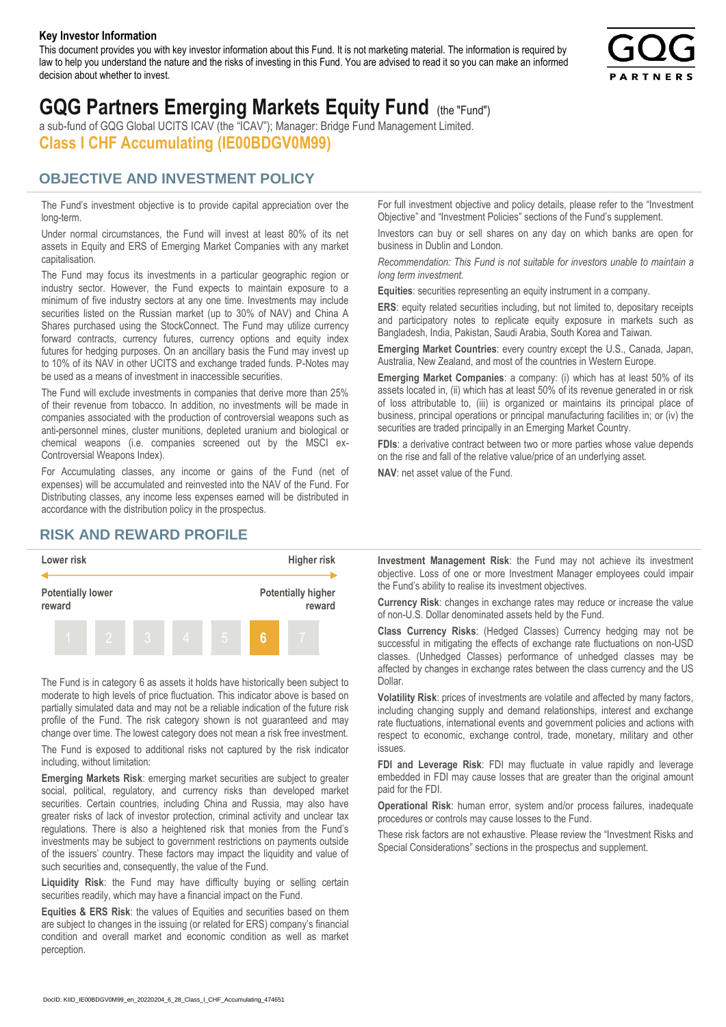#### **Key Investor Information**

This document provides you with key investor information about this Fund. It is not marketing material. The information is required by law to help you understand the nature and the risks of investing in this Fund. You are advised to read it so you can make an informed decision about whether to invest.



## **GQG Partners Emerging Markets Equity Fund** (the "Fund")

a sub-fund of GQG Global UCITS ICAV (the "ICAV"); Manager: Bridge Fund Management Limited. **Class I CHF Accumulating (IE00BDGV0M99)**

#### **OBJECTIVE AND INVESTMENT POLICY**

The Fund's investment objective is to provide capital appreciation over the long-term.

Under normal circumstances, the Fund will invest at least 80% of its net assets in Equity and ERS of Emerging Market Companies with any market capitalisation.

The Fund may focus its investments in a particular geographic region or industry sector. However, the Fund expects to maintain exposure to a minimum of five industry sectors at any one time. Investments may include securities listed on the Russian market (up to 30% of NAV) and China A Shares purchased using the StockConnect. The Fund may utilize currency forward contracts, currency futures, currency options and equity index futures for hedging purposes. On an ancillary basis the Fund may invest up to 10% of its NAV in other UCITS and exchange traded funds. P-Notes may be used as a means of investment in inaccessible securities.

The Fund will exclude investments in companies that derive more than 25% of their revenue from tobacco. In addition, no investments will be made in companies associated with the production of controversial weapons such as anti-personnel mines, cluster munitions, depleted uranium and biological or chemical weapons (i.e. companies screened out by the MSCI ex-Controversial Weapons Index).

For Accumulating classes, any income or gains of the Fund (net of expenses) will be accumulated and reinvested into the NAV of the Fund. For Distributing classes, any income less expenses earned will be distributed in accordance with the distribution policy in the prospectus.

#### **RISK AND REWARD PROFILE**



The Fund is in category 6 as assets it holds have historically been subject to moderate to high levels of price fluctuation. This indicator above is based on partially simulated data and may not be a reliable indication of the future risk profile of the Fund. The risk category shown is not guaranteed and may change over time. The lowest category does not mean a risk free investment.

The Fund is exposed to additional risks not captured by the risk indicator including, without limitation:

**Emerging Markets Risk**: emerging market securities are subject to greater social, political, regulatory, and currency risks than developed market securities. Certain countries, including China and Russia, may also have greater risks of lack of investor protection, criminal activity and unclear tax regulations. There is also a heightened risk that monies from the Fund's investments may be subject to government restrictions on payments outside of the issuers' country. These factors may impact the liquidity and value of such securities and, consequently, the value of the Fund.

**Liquidity Risk**: the Fund may have difficulty buying or selling certain securities readily, which may have a financial impact on the Fund.

**Equities & ERS Risk**: the values of Equities and securities based on them are subject to changes in the issuing (or related for ERS) company's financial condition and overall market and economic condition as well as market perception.

For full investment objective and policy details, please refer to the "Investment Objective" and "Investment Policies" sections of the Fund's supplement.

Investors can buy or sell shares on any day on which banks are open for business in Dublin and London.

*Recommendation: This Fund is not suitable for investors unable to maintain a long term investment.*

**Equities**: securities representing an equity instrument in a company.

**ERS:** equity related securities including, but not limited to, depositary receipts and participatory notes to replicate equity exposure in markets such as Bangladesh, India, Pakistan, Saudi Arabia, South Korea and Taiwan.

**Emerging Market Countries**: every country except the U.S., Canada, Japan, Australia, New Zealand, and most of the countries in Western Europe.

**Emerging Market Companies**: a company: (i) which has at least 50% of its assets located in, (ii) which has at least 50% of its revenue generated in or risk of loss attributable to, (iii) is organized or maintains its principal place of business, principal operations or principal manufacturing facilities in; or (iv) the securities are traded principally in an Emerging Market Country.

**FDIs**: a derivative contract between two or more parties whose value depends on the rise and fall of the relative value/price of an underlying asset.

**NAV**: net asset value of the Fund.

**Investment Management Risk**: the Fund may not achieve its investment objective. Loss of one or more Investment Manager employees could impair the Fund's ability to realise its investment objectives.

**Currency Risk**: changes in exchange rates may reduce or increase the value of non-U.S. Dollar denominated assets held by the Fund.

**Class Currency Risks**: (Hedged Classes) Currency hedging may not be successful in mitigating the effects of exchange rate fluctuations on non-USD classes. (Unhedged Classes) performance of unhedged classes may be affected by changes in exchange rates between the class currency and the US Dollar.

**Volatility Risk**: prices of investments are volatile and affected by many factors, including changing supply and demand relationships, interest and exchange rate fluctuations, international events and government policies and actions with respect to economic, exchange control, trade, monetary, military and other issues.

**FDI and Leverage Risk**: FDI may fluctuate in value rapidly and leverage embedded in FDI may cause losses that are greater than the original amount paid for the FDI.

**Operational Risk**: human error, system and/or process failures, inadequate procedures or controls may cause losses to the Fund.

These risk factors are not exhaustive. Please review the "Investment Risks and Special Considerations" sections in the prospectus and supplement.